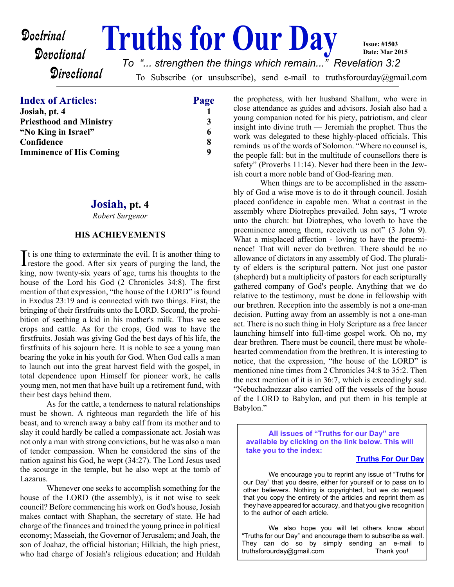#### **Doctrinal Truths for Our Day** Devotional **Directional** To Subscribe (or unsubscribe), send e-mail to truthsforourday@gmail.com **Issue: #1503 Date: Mar 2015** *To "... strengthen the things which remain..." Revelation 3:2*

## **Index of Articles: Page**

| Josiah, pt. 4                  |  |
|--------------------------------|--|
| <b>Priesthood and Ministry</b> |  |
| "No King in Israel"            |  |
| Confidence                     |  |
| <b>Imminence of His Coming</b> |  |
|                                |  |

## **Josiah, pt. 4**

*Robert Surgenor*

## **HIS ACHIEVEMENTS**

It is one thing to exterminate the evil. It is another thing to restore the good. After six years of purging the land, the restore the good. After six years of purging the land, the king, now twenty-six years of age, turns his thoughts to the house of the Lord his God (2 Chronicles 34:8). The first mention of that expression, "the house of the LORD" is found in Exodus 23:19 and is connected with two things. First, the bringing of their firstfruits unto the LORD. Second, the prohibition of seething a kid in his mother's milk. Thus we see crops and cattle. As for the crops, God was to have the firstfruits. Josiah was giving God the best days of his life, the firstfruits of his sojourn here. It is noble to see a young man bearing the yoke in his youth for God. When God calls a man to launch out into the great harvest field with the gospel, in total dependence upon Himself for pioneer work, he calls young men, not men that have built up a retirement fund, with their best days behind them.

 As for the cattle, a tenderness to natural relationships must be shown. A righteous man regardeth the life of his beast, and to wrench away a baby calf from its mother and to slay it could hardly be called a compassionate act. Josiah was not only a man with strong convictions, but he was also a man of tender compassion. When he considered the sins of the nation against his God, he wept (34:27). The Lord Jesus used the scourge in the temple, but he also wept at the tomb of Lazarus.

 Whenever one seeks to accomplish something for the house of the LORD (the assembly), is it not wise to seek council? Before commencing his work on God's house, Josiah makes contact with Shaphan, the secretary of state. He had charge of the finances and trained the young prince in political economy; Masseiah, the Governor of Jerusalem; and Joah, the son of Joahaz, the official historian; Hilkiah, the high priest, who had charge of Josiah's religious education; and Huldah the prophetess, with her husband Shallum, who were in close attendance as guides and advisors. Josiah also had a young companion noted for his piety, patriotism, and clear insight into divine truth — Jeremiah the prophet. Thus the work was delegated to these highly-placed officials. This reminds us of the words of Solomon. "Where no counsel is, the people fall: but in the multitude of counsellors there is safety" (Proverbs 11:14). Never had there been in the Jewish court a more noble band of God-fearing men.

 When things are to be accomplished in the assembly of God a wise move is to do it through council. Josiah placed confidence in capable men. What a contrast in the assembly where Diotrephes prevailed. John says, "I wrote unto the church: but Diotrephes, who loveth to have the preeminence among them, receiveth us not" (3 John 9). What a misplaced affection - loving to have the preeminence! That will never do brethren. There should be no allowance of dictators in any assembly of God. The plurality of elders is the scriptural pattern. Not just one pastor (shepherd) but a multiplicity of pastors for each scripturally gathered company of God's people. Anything that we do relative to the testimony, must be done in fellowship with our brethren. Reception into the assembly is not a one-man decision. Putting away from an assembly is not a one-man act. There is no such thing in Holy Scripture as a free lancer launching himself into full-time gospel work. Oh no, my dear brethren. There must be council, there must be wholehearted commendation from the brethren. It is interesting to notice, that the expression, "the house of the LORD" is mentioned nine times from 2 Chronicles 34:8 to 35:2. Then the next mention of it is in 36:7, which is exceedingly sad. "Nebuchadnezzar also carried off the vessels of the house of the LORD to Babylon, and put them in his temple at Babylon."

**All issues of "Truths for our Day" are available by clicking on the link below. This will take you to the index:**

#### **[Truths For Our Day](http://truthsforourday.com)**

 We encourage you to reprint any issue of "Truths for our Day" that you desire, either for yourself or to pass on to other believers. Nothing is copyrighted, but we do request that you copy the entirety of the articles and reprint them as they have appeared for accuracy, and that you give recognition to the author of each article.

 We also hope you will let others know about "Truths for our Day" and encourage them to subscribe as well. They can do so by simply sending an e-mail to truthsforourday@gmail.com Thank you!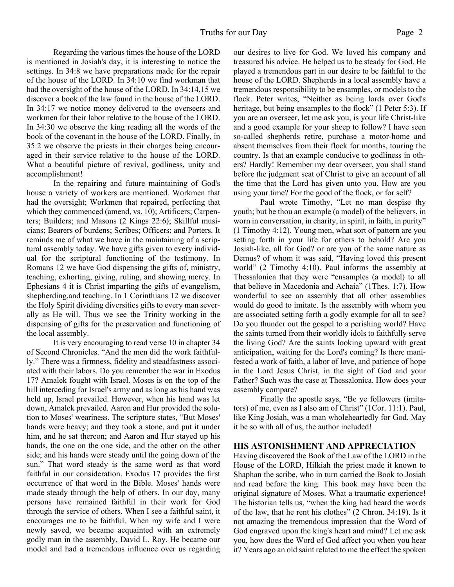Regarding the various times the house of the LORD is mentioned in Josiah's day, it is interesting to notice the settings. In 34:8 we have preparations made for the repair of the house of the LORD. In 34:10 we find workman that had the oversight of the house of the LORD. In 34:14,15 we discover a book of the law found in the house of the LORD. In 34:17 we notice money delivered to the overseers and workmen for their labor relative to the house of the LORD. In 34:30 we observe the king reading all the words of the book of the covenant in the house of the LORD. Finally, in 35:2 we observe the priests in their charges being encouraged in their service relative to the house of the LORD. What a beautiful picture of revival, godliness, unity and accomplishment!

 In the repairing and future maintaining of God's house a variety of workers are mentioned. Workmen that had the oversight; Workmen that repaired, perfecting that which they commenced (amend, vs. 10); Artificers; Carpenters; Builders; and Masons (2 Kings 22:6); Skillful musicians; Bearers of burdens; Scribes; Officers; and Porters. It reminds me of what we have in the maintaining of a scriptural assembly today. We have gifts given to every individual for the scriptural functioning of the testimony. In Romans 12 we have God dispensing the gifts of, ministry, teaching, exhorting, giving, ruling, and showing mercy. In Ephesians 4 it is Christ imparting the gifts of evangelism, shepherding,and teaching. In 1 Corinthians 12 we discover the Holy Spirit dividing diversities gifts to every man severally as He will. Thus we see the Trinity working in the dispensing of gifts for the preservation and functioning of the local assembly.

 It is very encouraging to read verse 10 in chapter 34 of Second Chronicles. "And the men did the work faithfully." There was a firmness, fidelity and steadfastness associated with their labors. Do you remember the war in Exodus 17? Amalek fought with Israel. Moses is on the top of the hill interceding for Israel's army and as long as his hand was held up, Israel prevailed. However, when his hand was let down, Amalek prevailed. Aaron and Hur provided the solution to Moses' weariness. The scripture states, "But Moses' hands were heavy; and they took a stone, and put it under him, and he sat thereon; and Aaron and Hur stayed up his hands, the one on the one side, and the other on the other side; and his hands were steady until the going down of the sun." That word steady is the same word as that word faithful in our consideration. Exodus 17 provides the first occurrence of that word in the Bible. Moses' hands were made steady through the help of others. In our day, many persons have remained faithful in their work for God through the service of others. When I see a faithful saint, it encourages me to be faithful. When my wife and I were newly saved, we became acquainted with an extremely godly man in the assembly, David L. Roy. He became our model and had a tremendous influence over us regarding our desires to live for God. We loved his company and treasured his advice. He helped us to be steady for God. He played a tremendous part in our desire to be faithful to the house of the LORD. Shepherds in a local assembly have a tremendous responsibility to be ensamples, or models to the flock. Peter writes, "Neither as being lords over God's heritage, but being ensamples to the flock" (1 Peter 5:3). If you are an overseer, let me ask you, is your life Christ-like and a good example for your sheep to follow? I have seen so-called shepherds retire, purchase a motor-home and absent themselves from their flock for months, touring the country. Is that an example conducive to godliness in others? Hardly! Remember my dear overseer, you shall stand before the judgment seat of Christ to give an account of all the time that the Lord has given unto you. How are you using your time? For the good of the flock, or for self?

 Paul wrote Timothy, "Let no man despise thy youth; but be thou an example (a model) of the believers, in worn in conversation, in charity, in spirit, in faith, in purity" (1 Timothy 4:12). Young men, what sort of pattern are you setting forth in your life for others to behold? Are you Josiah-like, all for God? or are you of the same nature as Demus? of whom it was said, "Having loved this present world" (2 Timothy 4:10). Paul informs the assembly at Thessalonica that they were "ensamples (a model) to all that believe in Macedonia and Achaia" (1Thes. 1:7). How wonderful to see an assembly that all other assemblies would do good to imitate. Is the assembly with whom you are associated setting forth a godly example for all to see? Do you thunder out the gospel to a perishing world? Have the saints turned from their worldly idols to faithfully serve the living God? Are the saints looking upward with great anticipation, waiting for the Lord's coming? Is there manifested a work of faith, a labor of love, and patience of hope in the Lord Jesus Christ, in the sight of God and your Father? Such was the case at Thessalonica. How does your assembly compare?

 Finally the apostle says, "Be ye followers (imitators) of me, even as I also am of Christ" (1Cor. 11:1). Paul, like King Josiah, was a man wholeheartedly for God. May it be so with all of us, the author included!

#### **HIS ASTONISHMENT AND APPRECIATION**

Having discovered the Book of the Law of the LORD in the House of the LORD, Hilkiah the priest made it known to Shaphan the scribe, who in turn carried the Book to Josiah and read before the king. This book may have been the original signature of Moses. What a traumatic experience! The historian tells us, "when the king had heard the words of the law, that he rent his clothes" (2 Chron. 34:19). Is it not amazing the tremendous impression that the Word of God engraved upon the king's heart and mind? Let me ask you, how does the Word of God affect you when you hear it? Years ago an old saint related to me the effect the spoken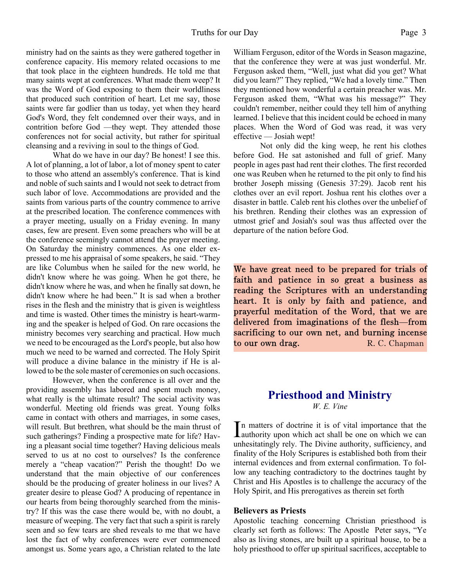ministry had on the saints as they were gathered together in conference capacity. His memory related occasions to me that took place in the eighteen hundreds. He told me that many saints wept at conferences. What made them weep? It was the Word of God exposing to them their worldliness that produced such contrition of heart. Let me say, those saints were far godlier than us today, yet when they heard God's Word, they felt condemned over their ways, and in contrition before God —they wept. They attended those conferences not for social activity, but rather for spiritual cleansing and a reviving in soul to the things of God.

 What do we have in our day? Be honest! I see this. A lot of planning, a lot of labor, a lot of money spent to cater to those who attend an assembly's conference. That is kind and noble of such saints and I would not seek to detract from such labor of love. Accommodations are provided and the saints from various parts of the country commence to arrive at the prescribed location. The conference commences with a prayer meeting, usually on a Friday evening. In many cases, few are present. Even some preachers who will be at the conference seemingly cannot attend the prayer meeting. On Saturday the ministry commences. As one elder expressed to me his appraisal of some speakers, he said. "They are like Columbus when he sailed for the new world, he didn't know where he was going. When he got there, he didn't know where he was, and when he finally sat down, he didn't know where he had been." It is sad when a brother rises in the flesh and the ministry that is given is weightless and time is wasted. Other times the ministry is heart-warming and the speaker is helped of God. On rare occasions the ministry becomes very searching and practical. How much we need to be encouraged as the Lord's people, but also how much we need to be warned and corrected. The Holy Spirit will produce a divine balance in the ministry if He is allowed to be the sole master of ceremonies on such occasions.

 However, when the conference is all over and the providing assembly has labored and spent much money, what really is the ultimate result? The social activity was wonderful. Meeting old friends was great. Young folks came in contact with others and marriages, in some cases, will result. But brethren, what should be the main thrust of such gatherings? Finding a prospective mate for life? Having a pleasant social time together? Having delicious meals served to us at no cost to ourselves? Is the conference merely a "cheap vacation?" Perish the thought! Do we understand that the main objective of our conferences should be the producing of greater holiness in our lives? A greater desire to please God? A producing of repentance in our hearts from being thoroughly searched from the ministry? If this was the case there would be, with no doubt, a measure of weeping. The very fact that such a spirit is rarely seen and so few tears are shed reveals to me that we have lost the fact of why conferences were ever commenced amongst us. Some years ago, a Christian related to the late

William Ferguson, editor of the Words in Season magazine, that the conference they were at was just wonderful. Mr. Ferguson asked them, "Well, just what did you get? What did you learn?" They replied, "We had a lovely time." Then they mentioned how wonderful a certain preacher was. Mr. Ferguson asked them, "What was his message?" They couldn't remember, neither could they tell him of anything learned. I believe that this incident could be echoed in many places. When the Word of God was read, it was very effective — Josiah wept!

Not only did the king weep, he rent his clothes before God. He sat astonished and full of grief. Many people in ages past had rent their clothes. The first recorded one was Reuben when he returned to the pit only to find his brother Joseph missing (Genesis 37:29). Jacob rent his clothes over an evil report. Joshua rent his clothes over a disaster in battle. Caleb rent his clothes over the unbelief of his brethren. Rending their clothes was an expression of utmost grief and Josiah's soul was thus affected over the departure of the nation before God.

We have great need to be prepared for trials of faith and patience in so great a business as reading the Scriptures with an understanding heart. It is only by faith and patience, and prayerful meditation of the Word, that we are delivered from imaginations of the flesh—from sacrificing to our own net, and burning incense to our own drag. R. C. Chapman

## **Priesthood and Ministry** *W. E. Vine*

In matters of doctrine it is of vital importance that the authority upon which act shall be one on which we can n matters of doctrine it is of vital importance that the unhesitatingly rely. The Divine authority, sufficiency, and finality of the Holy Scripures is established both from their internal evidences and from external confirmation. To follow any teaching contradictory to the doctrines taught by Christ and His Apostles is to challenge the accuracy of the Holy Spirit, and His prerogatives as therein set forth

#### **Believers as Priests**

Apostolic teaching concerning Christian priesthood is clearly set forth as follows: The Apostle Peter says, "Ye also as living stones, are built up a spiritual house, to be a holy priesthood to offer up spiritual sacrifices, acceptable to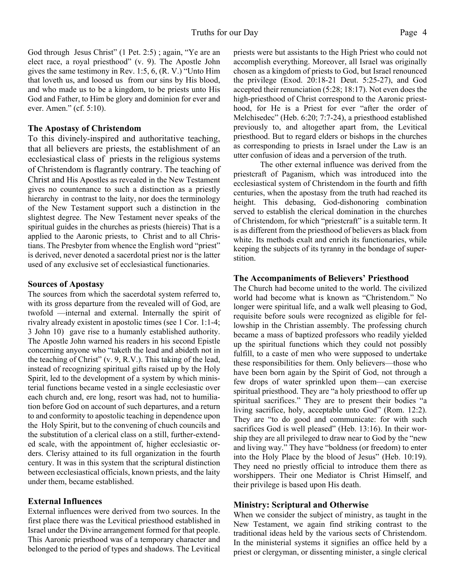God through Jesus Christ" (1 Pet. 2:5); again, "Ye are an elect race, a royal priesthood" (v. 9). The Apostle John gives the same testimony in Rev. 1:5, 6, (R. V.) "Unto Him that loveth us, and loosed us from our sins by His blood, and who made us to be a kingdom, to be priests unto His God and Father, to Him be glory and dominion for ever and ever. Amen." (cf. 5:10).

### **The Apostasy of Christendom**

To this divinely-inspired and authoritative teaching, that all believers are priests, the establishment of an ecclesiastical class of priests in the religious systems of Christendom is flagrantly contrary. The teaching of Christ and His Apostles as revealed in the New Testament gives no countenance to such a distinction as a priestly hierarchy in contrast to the laity, nor does the terminology of the New Testament support such a distinction in the slightest degree. The New Testament never speaks of the spiritual guides in the churches as priests (hiereis) That is a applied to the Aaronic priests, to Christ and to all Christians. The Presbyter from whence the English word "priest" is derived, never denoted a sacerdotal priest nor is the latter used of any exclusive set of ecclesiastical functionaries.

#### **Sources of Apostasy**

The sources from which the sacerdotal system referred to, with its gross departure from the revealed will of God, are twofold —internal and external. Internally the spirit of rivalry already existent in apostolic times (see 1 Cor. 1:1-4; 3 John 10) gave rise to a humanly established authority. The Apostle John warned his readers in his second Epistle concerning anyone who "taketh the lead and abideth not in the teaching of Christ" (v. 9, R.V.). This taking of the lead, instead of recognizing spiritual gifts raised up by the Holy Spirit, led to the development of a system by which ministerial functions became vested in a single ecclesiastic over each church and, ere long, resort was had, not to humiliation before God on account of such departures, and a return to and conformity to apostolic teaching in dependence upon the Holy Spirit, but to the convening of chuch councils and the substitution of a clerical class on a still, further-extended scale, with the appointment of, higher ecclesiastic orders. Clerisy attained to its full organization in the fourth century. It was in this system that the scriptural distinction between ecclesiastical officials, known priests, and the laity under them, became established.

## **External Influences**

External influences were derived from two sources. In the first place there was the Levitical priesthood established in Israel under the Divine arrangement formed for that people. This Aaronic priesthood was of a temporary character and belonged to the period of types and shadows. The Levitical priests were but assistants to the High Priest who could not accomplish everything. Moreover, all Israel was originally chosen as a kingdom of priests to God, but Israel renounced the privilege (Exod. 20:18-21 Deut. 5:25-27), and God accepted their renunciation (5:28; 18:17). Not even does the high-priesthood of Christ correspond to the Aaronic priesthood, for He is a Priest for ever "after the order of Melchisedec" (Heb. 6:20; 7:7-24), a priesthood established previously to, and altogether apart from, the Levitical priesthood. But to regard elders or bishops in the churches as corresponding to priests in Israel under the Law is an utter confusion of ideas and a perversion of the truth.

 The other external influence was derived from the priestcraft of Paganism, which was introduced into the ecclesiastical system of Christendom in the fourth and fifth centuries, when the apostasy from the truth had reached its height. This debasing, God-dishonoring combination served to establish the clerical domination in the churches of Christendom, for which "priestcraft" is a suitable term. It is as different from the priesthood of believers as black from white. Its methods exalt and enrich its functionaries, while keeping the subjects of its tyranny in the bondage of superstition.

### **The Accompaniments of Believers' Priesthood**

The Church had become united to the world. The civilized world had become what is known as "Christendom." No longer were spiritual life, and a walk well pleasing to God, requisite before souls were recognized as eligible for fellowship in the Christian assembly. The professing church became a mass of baptized professors who readily yielded up the spiritual functions which they could not possibly fulfill, to a caste of men who were supposed to undertake these responsibilities for them. Only believers—those who have been born again by the Spirit of God, not through a few drops of water sprinkled upon them—can exercise spiritual priesthood. They are "a holy priesthood to offer up spiritual sacrifices." They are to present their bodies "a living sacrifice, holy, acceptable unto God" (Rom. 12:2). They are "to do good and communicate: for with such sacrifices God is well pleased" (Heb. 13:16). In their worship they are all privileged to draw near to God by the "new and living way." They have "boldness (or freedom) to enter into the Holy Place by the blood of Jesus" (Heb. 10:19). They need no priestly official to introduce them there as worshippers. Their one Mediator is Christ Himself, and their privilege is based upon His death.

#### **Ministry: Scriptural and Otherwise**

When we consider the subject of ministry, as taught in the New Testament, we again find striking contrast to the traditional ideas held by the various sects of Christendom. In the ministerial systems it signifies an office held by a priest or clergyman, or dissenting minister, a single clerical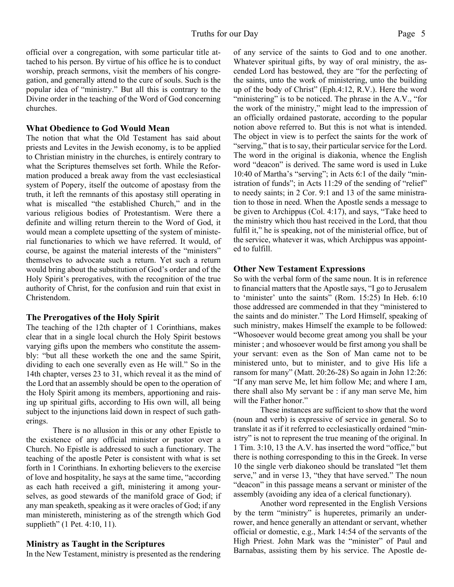official over a congregation, with some particular title attached to his person. By virtue of his office he is to conduct worship, preach sermons, visit the members of his congregation, and generally attend to the cure of souls. Such is the popular idea of "ministry." But all this is contrary to the Divine order in the teaching of the Word of God concerning churches.

### **What Obedience to God Would Mean**

The notion that what the Old Testament has said about priests and Levites in the Jewish economy, is to be applied to Christian ministry in the churches, is entirely contrary to what the Scriptures themselves set forth. While the Reformation produced a break away from the vast ecclesiastical system of Popery, itself the outcome of apostasy from the truth, it left the remnants of this apostasy still operating in what is miscalled "the established Church," and in the various religious bodies of Protestantism. Were there a definite and willing return therein to the Word of God, it would mean a complete upsetting of the system of ministerial functionaries to which we have referred. It would, of course, be against the material interests of the "ministers" themselves to advocate such a return. Yet such a return would bring about the substitution of God's order and of the Holy Spirit's prerogatives, with the recognition of the true authority of Christ, for the confusion and ruin that exist in Christendom.

#### **The Prerogatives of the Holy Spirit**

The teaching of the 12th chapter of 1 Corinthians, makes clear that in a single local church the Holy Spirit bestows varying gifts upon the members who constitute the assembly: "but all these worketh the one and the same Spirit, dividing to each one severally even as He will." So in the 14th chapter, verses 23 to 31, which reveal it as the mind of the Lord that an assembly should be open to the operation of the Holy Spirit among its members, apportioning and raising up spiritual gifts, according to His own will, all being subject to the injunctions laid down in respect of such gatherings.

There is no allusion in this or any other Epistle to the existence of any official minister or pastor over a Church. No Epistle is addressed to such a functionary. The teaching of the apostle Peter is consistent with what is set forth in 1 Corinthians. In exhorting believers to the exercise of love and hospitality, he says at the same time, "according as each hath received a gift, ministering it among yourselves, as good stewards of the manifold grace of God; if any man speaketh, speaking as it were oracles of God; if any man ministereth, ministering as of the strength which God supplieth" (1 Pet. 4:10, 11).

## **Ministry as Taught in the Scriptures**

In the New Testament, ministry is presented as the rendering

of any service of the saints to God and to one another. Whatever spiritual gifts, by way of oral ministry, the ascended Lord has bestowed, they are "for the perfecting of the saints, unto the work of ministering, unto the building up of the body of Christ" (Eph.4:12, R.V.). Here the word "ministering" is to be noticed. The phrase in the A.V., "for the work of the ministry," might lead to the impression of an officially ordained pastorate, according to the popular notion above referred to. But this is not what is intended. The object in view is to perfect the saints for the work of "serving," that is to say, their particular service for the Lord. The word in the original is diakonia, whence the English word "deacon" is derived. The same word is used in Luke 10:40 of Martha's "serving"; in Acts 6:1 of the daily "ministration of funds"; in Acts 11:29 of the sending of "relief" to needy saints; in 2 Cor. 9:1 and 13 of the same ministration to those in need. When the Apostle sends a message to be given to Archippus (Col. 4:17), and says, "Take heed to the ministry which thou hast received in the Lord, that thou fulfil it," he is speaking, not of the ministerial office, but of the service, whatever it was, which Archippus was appointed to fulfill.

## **Other New Testament Expressions**

So with the verbal form of the same noun. It is in reference to financial matters that the Apostle says, "I go to Jerusalem to 'minister' unto the saints" (Rom. 15:25) In Heb. 6:10 those addressed are commended in that they "ministered to the saints and do minister." The Lord Himself, speaking of such ministry, makes Himself the example to be followed: "Whosoever would become great among you shall be your minister ; and whosoever would be first among you shall be your servant: even as the Son of Man came not to be ministered unto, but to minister, and to give His life a ransom for many" (Matt. 20:26-28) So again in John 12:26: "If any man serve Me, let him follow Me; and where I am, there shall also My servant be : if any man serve Me, him will the Father honor."

 These instances are sufficient to show that the word (noun and verb) is expressive of service in general. So to translate it as if it referred to ecclesiastically ordained "ministry" is not to represent the true meaning of the original. In 1 Tim. 3:10, 13 the A.V. has inserted the word "office," but there is nothing corresponding to this in the Greek. In verse 10 the single verb diakoneo should be translated "let them serve," and in verse 13, "they that have served." The noun "deacon" in this passage means a servant or minister of the assembly (avoiding any idea of a clerical functionary).

 Another word represented in the English Versions by the term "ministry" is huperetes, primarily an underrower, and hence generally an attendant or servant, whether official or domestic, e.g., Mark 14:54 of the servants of the High Priest. John Mark was the "minister" of Paul and Barnabas, assisting them by his service. The Apostle de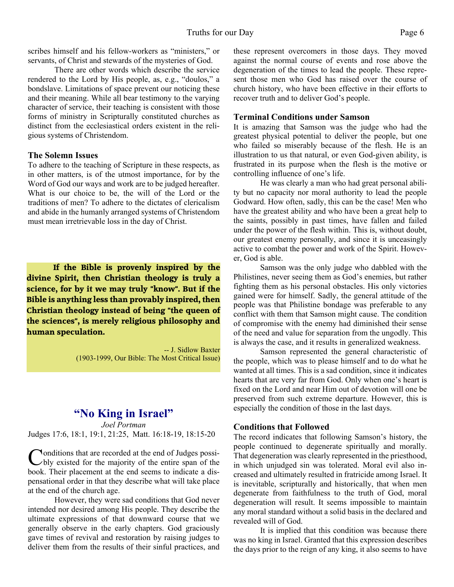scribes himself and his fellow-workers as "ministers," or servants, of Christ and stewards of the mysteries of God.

 There are other words which describe the service rendered to the Lord by His people, as, e.g., "doulos," a bondslave. Limitations of space prevent our noticing these and their meaning. While all bear testimony to the varying character of service, their teaching is consistent with those forms of ministry in Scripturally constituted churches as distinct from the ecclesiastical orders existent in the religious systems of Christendom.

#### **The Solemn Issues**

To adhere to the teaching of Scripture in these respects, as in other matters, is of the utmost importance, for by the Word of God our ways and work are to be judged hereafter. What is our choice to be, the will of the Lord or the traditions of men? To adhere to the dictates of clericalism and abide in the humanly arranged systems of Christendom must mean irretrievable loss in the day of Christ.

**If the Bible is provenly inspired by the divine Spirit, then Christian theology is truly a science, for by it we may truly "know". But if the Bible is anything less than provably inspired, then Christian theology instead of being "the queen of the sciences", is merely religious philosophy and human speculation.**

> -- J. Sidlow Baxter (1903-1999, Our Bible: The Most Critical Issue)

## **"No King in Israel"**

*Joel Portman* Judges 17:6, 18:1, 19:1, 21:25, Matt. 16:18-19, 18:15-20

Conditions that are recorded at the end of Judges possi-<br>bly existed for the majority of the entire span of the onditions that are recorded at the end of Judges possibook. Their placement at the end seems to indicate a dispensational order in that they describe what will take place at the end of the church age.

However, they were sad conditions that God never intended nor desired among His people. They describe the ultimate expressions of that downward course that we generally observe in the early chapters. God graciously gave times of revival and restoration by raising judges to deliver them from the results of their sinful practices, and these represent overcomers in those days. They moved against the normal course of events and rose above the degeneration of the times to lead the people. These represent those men who God has raised over the course of church history, who have been effective in their efforts to recover truth and to deliver God's people.

#### **Terminal Conditions under Samson**

It is amazing that Samson was the judge who had the greatest physical potential to deliver the people, but one who failed so miserably because of the flesh. He is an illustration to us that natural, or even God-given ability, is frustrated in its purpose when the flesh is the motive or controlling influence of one's life.

He was clearly a man who had great personal ability but no capacity nor moral authority to lead the people Godward. How often, sadly, this can be the case! Men who have the greatest ability and who have been a great help to the saints, possibly in past times, have fallen and failed under the power of the flesh within. This is, without doubt, our greatest enemy personally, and since it is unceasingly active to combat the power and work of the Spirit. However, God is able.

Samson was the only judge who dabbled with the Philistines, never seeing them as God's enemies, but rather fighting them as his personal obstacles. His only victories gained were for himself. Sadly, the general attitude of the people was that Philistine bondage was preferable to any conflict with them that Samson might cause. The condition of compromise with the enemy had diminished their sense of the need and value for separation from the ungodly. This is always the case, and it results in generalized weakness.

Samson represented the general characteristic of the people, which was to please himself and to do what he wanted at all times. This is a sad condition, since it indicates hearts that are very far from God. Only when one's heart is fixed on the Lord and near Him out of devotion will one be preserved from such extreme departure. However, this is especially the condition of those in the last days.

#### **Conditions that Followed**

The record indicates that following Samson's history, the people continued to degenerate spiritually and morally. That degeneration was clearly represented in the priesthood, in which unjudged sin was tolerated. Moral evil also increased and ultimately resulted in fratricide among Israel. It is inevitable, scripturally and historically, that when men degenerate from faithfulness to the truth of God, moral degeneration will result. It seems impossible to maintain any moral standard without a solid basis in the declared and revealed will of God.

It is implied that this condition was because there was no king in Israel. Granted that this expression describes the days prior to the reign of any king, it also seems to have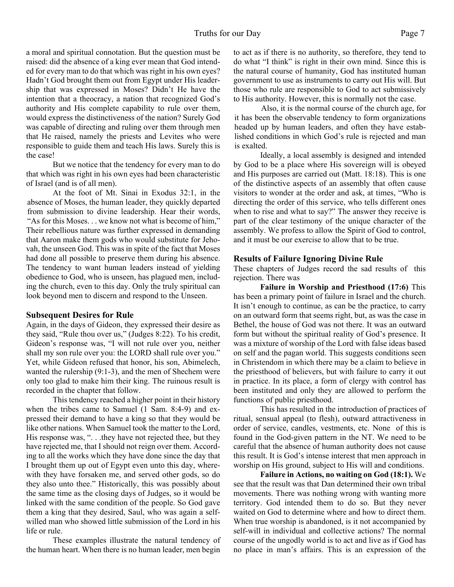a moral and spiritual connotation. But the question must be raised: did the absence of a king ever mean that God intended for every man to do that which was right in his own eyes? Hadn't God brought them out from Egypt under His leadership that was expressed in Moses? Didn't He have the intention that a theocracy, a nation that recognized God's authority and His complete capability to rule over them, would express the distinctiveness of the nation? Surely God was capable of directing and ruling over them through men that He raised, namely the priests and Levites who were responsible to guide them and teach His laws. Surely this is the case!

But we notice that the tendency for every man to do that which was right in his own eyes had been characteristic of Israel (and is of all men).

At the foot of Mt. Sinai in Exodus 32:1, in the absence of Moses, the human leader, they quickly departed from submission to divine leadership. Hear their words, "As for this Moses. . . we know not what is become of him," Their rebellious nature was further expressed in demanding that Aaron make them gods who would substitute for Jehovah, the unseen God. This was in spite of the fact that Moses had done all possible to preserve them during his absence. The tendency to want human leaders instead of yielding obedience to God, who is unseen, has plagued men, including the church, even to this day. Only the truly spiritual can look beyond men to discern and respond to the Unseen.

#### **Subsequent Desires for Rule**

Again, in the days of Gideon, they expressed their desire as they said, "Rule thou over us," (Judges 8:22). To his credit, Gideon's response was, "I will not rule over you, neither shall my son rule over you: the LORD shall rule over you." Yet, while Gideon refused that honor, his son, Abimelech, wanted the rulership (9:1-3), and the men of Shechem were only too glad to make him their king. The ruinous result is recorded in the chapter that follow.

This tendency reached a higher point in their history when the tribes came to Samuel (1 Sam. 8:4-9) and expressed their demand to have a king so that they would be like other nations. When Samuel took the matter to the Lord, His response was, "... they have not rejected thee, but they have rejected me, that I should not reign over them. According to all the works which they have done since the day that I brought them up out of Egypt even unto this day, wherewith they have forsaken me, and served other gods, so do they also unto thee." Historically, this was possibly about the same time as the closing days of Judges, so it would be linked with the same condition of the people. So God gave them a king that they desired, Saul, who was again a selfwilled man who showed little submission of the Lord in his life or rule.

These examples illustrate the natural tendency of the human heart. When there is no human leader, men begin

to act as if there is no authority, so therefore, they tend to do what "I think" is right in their own mind. Since this is the natural course of humanity, God has instituted human government to use as instruments to carry out His will. But those who rule are responsible to God to act submissively to His authority. However, this is normally not the case.

Also, it is the normal course of the church age, for it has been the observable tendency to form organizations headed up by human leaders, and often they have established conditions in which God's rule is rejected and man is exalted.

Ideally, a local assembly is designed and intended by God to be a place where His sovereign will is obeyed and His purposes are carried out (Matt. 18:18). This is one of the distinctive aspects of an assembly that often cause visitors to wonder at the order and ask, at times, "Who is directing the order of this service, who tells different ones when to rise and what to say?" The answer they receive is part of the clear testimony of the unique character of the assembly. We profess to allow the Spirit of God to control, and it must be our exercise to allow that to be true.

#### **Results of Failure Ignoring Divine Rule**

These chapters of Judges record the sad results of this rejection. There was

**Failure in Worship and Priesthood (17:6)** This has been a primary point of failure in Israel and the church. It isn't enough to continue, as can be the practice, to carry on an outward form that seems right, but, as was the case in Bethel, the house of God was not there. It was an outward form but without the spiritual reality of God's presence. It was a mixture of worship of the Lord with false ideas based on self and the pagan world. This suggests conditions seen in Christendom in which there may be a claim to believe in the priesthood of believers, but with failure to carry it out in practice. In its place, a form of clergy with control has been instituted and only they are allowed to perform the functions of public priesthood.

This has resulted in the introduction of practices of ritual, sensual appeal (to flesh), outward attractiveness in order of service, candles, vestments, etc. None of this is found in the God-given pattern in the NT. We need to be careful that the absence of human authority does not cause this result. It is God's intense interest that men approach in worship on His ground, subject to His will and conditions.

**Failure in Actions, no waiting on God (18:1).** We see that the result was that Dan determined their own tribal movements. There was nothing wrong with wanting more territory. God intended them to do so. But they never waited on God to determine where and how to direct them. When true worship is abandoned, is it not accompanied by self-will in individual and collective actions? The normal course of the ungodly world is to act and live as if God has no place in man's affairs. This is an expression of the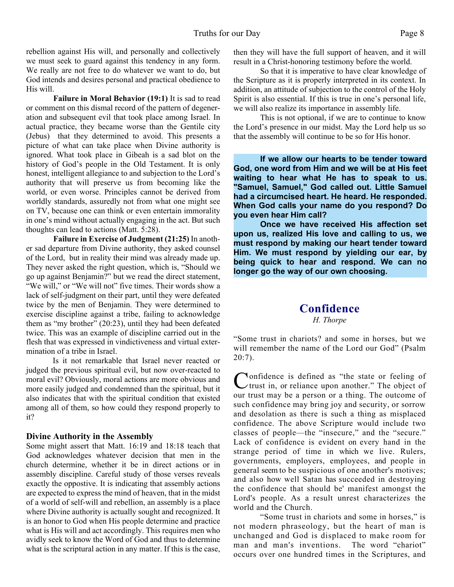**Failure in Moral Behavior (19:1)** It is sad to read or comment on this dismal record of the pattern of degeneration and subsequent evil that took place among Israel. In actual practice, they became worse than the Gentile city (Jebus) that they determined to avoid. This presents a picture of what can take place when Divine authority is ignored. What took place in Gibeah is a sad blot on the history of God's people in the Old Testament. It is only honest, intelligent allegiance to and subjection to the Lord's authority that will preserve us from becoming like the world, or even worse. Principles cannot be derived from worldly standards, assuredly not from what one might see on TV, because one can think or even entertain immorality in one's mind without actually engaging in the act. But such thoughts can lead to actions (Matt. 5:28).

**Failure in Exercise of Judgment (21:25)** In another sad departure from Divine authority, they asked counsel of the Lord, but in reality their mind was already made up. They never asked the right question, which is, "Should we go up against Benjamin?" but we read the direct statement, "We will," or "We will not" five times. Their words show a lack of self-judgment on their part, until they were defeated twice by the men of Benjamin. They were determined to exercise discipline against a tribe, failing to acknowledge them as "my brother" (20:23), until they had been defeated twice. This was an example of discipline carried out in the flesh that was expressed in vindictiveness and virtual extermination of a tribe in Israel.

Is it not remarkable that Israel never reacted or judged the previous spiritual evil, but now over-reacted to moral evil? Obviously, moral actions are more obvious and more easily judged and condemned than the spiritual, but it also indicates that with the spiritual condition that existed among all of them, so how could they respond properly to it?

## **Divine Authority in the Assembly**

Some might assert that Matt. 16:19 and 18:18 teach that God acknowledges whatever decision that men in the church determine, whether it be in direct actions or in assembly discipline. Careful study of those verses reveals exactly the oppostive. It is indicating that assembly actions are expected to express the mind of heaven, that in the midst of a world of self-will and rebellion, an assembly is a place where Divine authority is actually sought and recognized. It is an honor to God when His people determine and practice what is His will and act accordingly. This requires men who avidly seek to know the Word of God and thus to determine what is the scriptural action in any matter. If this is the case,

then they will have the full support of heaven, and it will result in a Christ-honoring testimony before the world.

So that it is imperative to have clear knowledge of the Scripture as it is properly interpreted in its context. In addition, an attitude of subjection to the control of the Holy Spirit is also essential. If this is true in one's personal life, we will also realize its importance in assembly life.

This is not optional, if we are to continue to know the Lord's presence in our midst. May the Lord help us so that the assembly will continue to be so for His honor.

**If we allow our hearts to be tender toward God, one word from Him and we will be at His feet waiting to hear what He has to speak to us. "Samuel, Samuel," God called out. Little Samuel had a circumcised heart. He heard. He responded. When God calls your name do you respond? Do you even hear Him call?**

**Once we have received His affection set upon us, realized His love and calling to us, we must respond by making our heart tender toward Him. We must respond by yielding our ear, by being quick to hear and respond. We can no longer go the way of our own choosing.**

## **Confidence**

*H. Thorpe*

"Some trust in chariots? and some in horses, but we will remember the name of the Lord our God" (Psalm  $20:7$ ).

Confidence is defined as "the state or feeling of<br>
trust in, or reliance upon another." The object of onfidence is defined as "the state or feeling of our trust may be a person or a thing. The outcome of such confidence may bring joy and security, or sorrow and desolation as there is such a thing as misplaced confidence. The above Scripture would include two classes of people—the "insecure," and the "secure." Lack of confidence is evident on every hand in the strange period of time in which we live. Rulers, governments, employers, employees, and people in general seem to be suspicious of one another's motives; and also how well Satan has succeeded in destroying the confidence that should be' manifest amongst the Lord's people. As a result unrest characterizes the world and the Church.

"Some trust in chariots and some in horses," is not modern phraseology, but the heart of man is unchanged and God is displaced to make room for man and man's inventions. The word "chariot" occurs over one hundred times in the Scriptures, and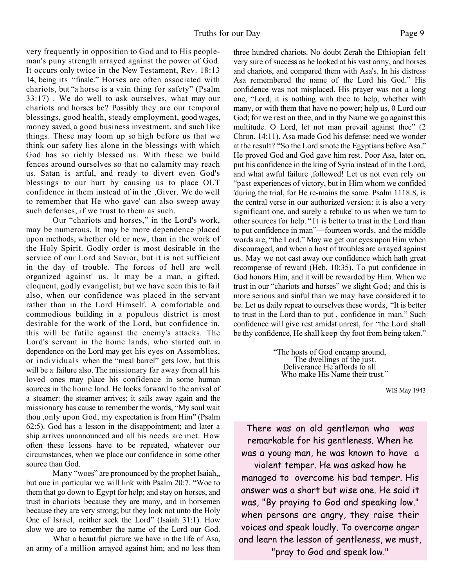very frequently in opposition to God and to His peopleman's puny strength arrayed against the power of God. It occurs only twice in the New Testament, Rev. 18:13 14, being its "finale." Horses are often associated with chariots, but "a horse is a vain thing for safety" (Psalm 33:17) . We do well to ask ourselves, what may our chariots and horses be? Possibly they are our temporal blessings, good health, steady employment, good wages, money saved, a good business investment, and such like things. These may loom up so high before us that we think our safety lies alone in the blessings with which God has so richly blessed us. With these we build fences around ourselves so that no calamity may reach us. Satan is artful, and ready to divert even God's blessings to our hurt by causing us to place OUT confidence in them instead of in the ,Giver. We do well to remember that He who gave' can also sweep away such defenses, if we trust to them as such.

Our "chariots and horses," in the Lord's work, may be numerous. It may be more dependence placed upon methods, whether old or new, than in the work of the Holy Spirit. Godly order is most desirable in the service of our Lord and Savior, but it is not sufficient in the day of trouble. The forces of hell are well organized against' us. It may be a man, a gifted, eloquent, godly evangelist; but we have seen this to fail also, when our confidence was placed in the servant rather than in the Lord Himself. A comfortable and commodious building in a populous district is most desirable for the work of the Lord, but confidence in. this will be futile against the enemy's attacks. The Lord's servant in the home lands, who started out in dependence on the Lord may get his eyes on Assemblies, or individuals when the "meal barrel" gets low, but this will be a failure also. The missionary far away from all his loved ones may place his confidence in some human sources in the home land. He looks forward to the arrival of a steamer: the steamer arrives; it sails away again and the missionary has cause to remember the words, "My soul wait thou ,only upon God, my expectation is from Him" (Psalm 62:5). God has a lesson in the disappointment; and later a ship arrives unannounced and all his needs are met. How often these lessons have to be repeated, whatever our circumstances, when we place our confidence in some other source than God.

Many "woes" are pronounced by the prophet Isaiah,, but one in particular we will link with Psalm 20:7. "Woe to them that go down to Egypt for help; and stay on horses, and trust in chariots because they are many, and in horsemen because they are very strong; but they look not unto the Holy One of Israel, neither seek the Lord" (Isaiah 31:1). How slow we are to remember the name of the Lord our God.

 What a beautiful picture we have in the life of Asa, an army of a million arrayed against him; and no less than three hundred chariots. No doubt Zerah the Ethiopian felt very sure of success as he looked at his vast army, and horses and chariots, and compared them with Asa's. In his distress Asa remembered the name of the Lord his God." His confidence was not misplaced. His prayer was not a long one, "Lord, it is nothing with thee to help, whether with many, or with them that have no power; help us, 0 Lord our God; for we rest on thee, and in thy Name we go against this multitude. O Lord, let not man prevail against thee" (2 Chron. 14:11). Asa made God his defense: need we wonder at the result? "So the Lord smote the Egyptians before Asa." He proved God and God gave him rest. Poor Asa, later on, put his confidence in the king of Syria instead of in the Lord, and what awful failure ,followed! Let us not even rely on "past experiences of victory, but in Him whom we confided 'during the trial, for He re-mains the same. Psalm 1118:8, is the central verse in our authorized version: it is also a very significant one, and surely a rebuke' to us when we turn to other sources for help. "It is better to trust in the Lord than to put confidence in man"—fourteen words, and the middle words are, "the Lord." May we get our eyes upon Him when discouraged, and when a host of troubles are arrayed against us. May we not cast away our confidence which hath great recompense of reward (Heb. 10:35). To put confidence in God honors Him, and it will be rewarded by Him. When we trust in our "chariots and horses" we slight God; and this is more serious and sinful than we may have considered it to be. Let us daily repeat to ourselves these words, "It is better to trust in the Lord than to put , confidence in man." Such confidence will give rest amidst unrest, for "the Lord shall be thy confidence, He shall keep thy foot from being taken."

> "The hosts of God encamp around, The dwellings of the just. Deliverance He affords to all Who make His Name their trust."

> > WIS May 1943

There was an old gentleman who was remarkable for his gentleness. When he was a young man, he was known to have a

violent temper. He was asked how he managed to overcome his bad temper. His answer was a short but wise one. He said it was, "By praying to God and speaking low." when persons are angry, they raise their voices and speak loudly. To overcome anger and learn the lesson of gentleness, we must, "pray to God and speak low."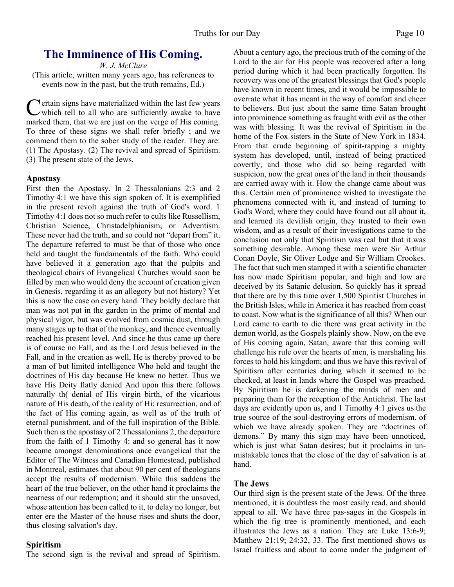# **The Imminence of His Coming.**

*W. J. McClure*

(This article, written many years ago, has references to events now in the past, but the truth remains, Ed.)

Certain signs have materialized within the last few years<br>
which tell to all who are sufficiently awake to have<br>
marked them, that we are just on the verge of His coming. **Nertain signs have materialized within the last few years**  $\nu$  which tell to all who are sufficiently awake to have To three of these signs we shall refer briefly ; and we commend them to the sober study of the reader. They are: (1) The Apostasy. (2) The revival and spread of Spiritism. (3) The present state of the Jews.

### **Apostasy**

First then the Apostasy. In 2 Thessalonians 2:3 and 2 Timothy 4:1 we have this sign spoken of. It is exemplified in the present revolt against the truth of God's word. 1 Timothy 4:1 does not so much refer to cults like Russellism, Christian Science, Christadelphianism, or Adventism. These never had the truth, and so could not "depart from" it. The departure referred to must be that of those who once held and taught the fundamentals of the faith. Who could have believed it a generation ago that the pulpits and theological chairs of Evangelical Churches would soon be filled by men who would deny the account of creation given in Genesis, regarding it as an allegory but not history? Yet this is now the case on every hand. They boldly declare that man was not put in the garden in the prime of mental and physical vigor, but was evolved from cosmic dust, through many stages up to that of the monkey, and thence eventually reached his present level. And since he thus came up there is of course no Fall, and as the Lord Jesus believed in the Fall, and in the creation as well, He is thereby proved to be a man of but limited intelligence Who held and taught the doctrines of His day because He knew no better. Thus we have His Deity flatly denied And upon this there follows naturally th( denial of His virgin birth, of the vicarious nature of His death, of the reality of Hi: resurrection, and of the fact of His coming again, as well as of the truth of eternal punishment, and of the full inspiration of the Bible. Such then is the apostasy of 2 Thessalonians 2, the departure from the faith of 1 Timothy 4: and so general has it now become amongst denominations once evangelical that the Editor of The Witness and Canadian Homestead, published in Montreal, estimates that about 90 per cent of theologians accept the results of modernism. While this saddens the heart of the true believer, on the other hand it proclaims the nearness of our redemption; and it should stir the unsaved, whose attention has been called to it, to delay no longer, but enter ere the Master of the house rises and shuts the door, thus closing salvation's day.

## **Spiritism**

The second sign is the revival and spread of Spiritism.

About a century ago, the precious truth of the coming of the Lord to the air for His people was recovered after a long period during which it had been practically forgotten. Its recovery was one of the greatest blessings that God's people have known in recent times, and it would be impossible to overrate what it has meant in the way of comfort and cheer to believers. But just about the same time Satan brought into prominence something as fraught with evil as the other was with blessing. It was the revival of Spiritism in the home of the Fox sisters in the State of New York in 1834. From that crude beginning of spirit-rapping a mighty system has developed, until, instead of being practiced covertly, and those who did so being regarded with suspicion, now the great ones of the land in their thousands are carried away with it. How the change came about was this. Certain men of prominence wished to investigate the phenomena connected with it, and instead of turning to God's Word, where they could have found out all about it, and learned its devilish origin, they trusted to their own wisdom, and as a result of their investigations came to the conclusion not only that Spiritism was real but that it was something desirable. Among these men were Sir Arthur Conan Doyle, Sir Oliver Lodge and Sir William Crookes. The fact that such men stamped it with a scientific character has now made Spiritism popular, and high and low are deceived by its Satanic delusion. So quickly has it spread that there are by this time over 1,500 Spiritist Churches in the British Isles, while in America it has reached from coast to coast. Now what is the significance of all this? When our Lord came to earth to die there was great activity in the demon world, as the Gospels plainly show. Now, on the eve of His coming again, Satan, aware that this coming will challenge his rule over the hearts of men, is marshaling his forces to hold his kingdom; and thus we have this revival of Spiritism after centuries during which it seemed to be checked, at least in lands where the Gospel was preached. By Spiritism he is darkening the minds of men and preparing them for the reception of the Antichrist. The last days are evidently upon us, and 1 Timothy 4:1 gives us the true source of the soul-destroying errors of modernism, of which we have already spoken. They are "doctrines of demons." By many this sign may have been unnoticed, which is just what Satan desires; but it proclaims in unmistakable tones that the close of the day of salvation is at hand.

## **The Jews**

Our third sign is the present state of the Jews. Of the three mentioned, it is doubtless the most easily read, and should appeal to all. We have three pas-sages in the Gospels in which the fig tree is prominently mentioned, and each illustrates the Jews as a nation. They are Luke 13:6-9; Matthew 21:19; 24:32, 33. The first mentioned shows us Israel fruitless and about to come under the judgment of